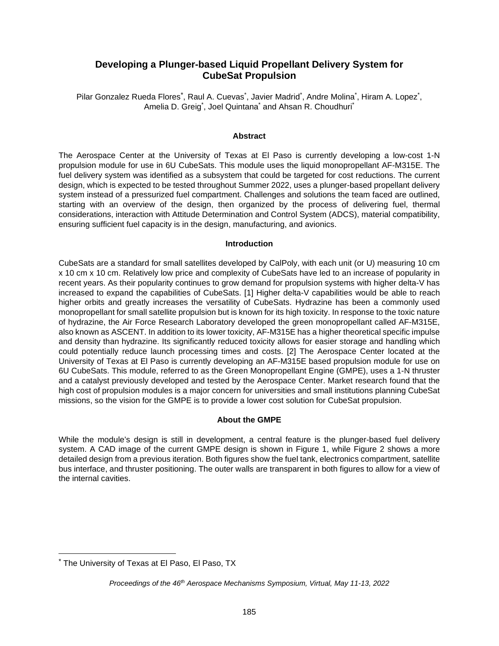# **Developing a Plunger-based Liquid Propellant Delivery System for CubeSat Propulsion**

Pilar Gonzalez Rueda Flores<sup>[\\*](#page-0-0)</sup>, Raul A. Cuevas<sup>\*</sup>, Javier Madrid<sup>\*</sup>, Andre Molina<sup>\*</sup>, Hiram A. Lopez<sup>\*</sup>, Amelia D. Greig<sup>\*</sup>, Joel Quintana<sup>\*</sup> and Ahsan R. Choudhuri<sup>\*</sup>

#### **Abstract**

The Aerospace Center at the University of Texas at El Paso is currently developing a low-cost 1-N propulsion module for use in 6U CubeSats. This module uses the liquid monopropellant AF-M315E. The fuel delivery system was identified as a subsystem that could be targeted for cost reductions. The current design, which is expected to be tested throughout Summer 2022, uses a plunger-based propellant delivery system instead of a pressurized fuel compartment. Challenges and solutions the team faced are outlined, starting with an overview of the design, then organized by the process of delivering fuel, thermal considerations, interaction with Attitude Determination and Control System (ADCS), material compatibility, ensuring sufficient fuel capacity is in the design, manufacturing, and avionics.

#### **Introduction**

CubeSats are a standard for small satellites developed by CalPoly, with each unit (or U) measuring 10 cm x 10 cm x 10 cm. Relatively low price and complexity of CubeSats have led to an increase of popularity in recent years. As their popularity continues to grow demand for propulsion systems with higher delta-V has increased to expand the capabilities of CubeSats. [1] Higher delta-V capabilities would be able to reach higher orbits and greatly increases the versatility of CubeSats. Hydrazine has been a commonly used monopropellant for small satellite propulsion but is known for its high toxicity. In response to the toxic nature of hydrazine, the Air Force Research Laboratory developed the green monopropellant called AF-M315E, also known as ASCENT. In addition to its lower toxicity, AF-M315E has a higher theoretical specific impulse and density than hydrazine. Its significantly reduced toxicity allows for easier storage and handling which could potentially reduce launch processing times and costs. [2] The Aerospace Center located at the University of Texas at El Paso is currently developing an AF-M315E based propulsion module for use on 6U CubeSats. This module, referred to as the Green Monopropellant Engine (GMPE), uses a 1-N thruster and a catalyst previously developed and tested by the Aerospace Center. Market research found that the high cost of propulsion modules is a major concern for universities and small institutions planning CubeSat missions, so the vision for the GMPE is to provide a lower cost solution for CubeSat propulsion.

## **About the GMPE**

While the module's design is still in development, a central feature is the plunger-based fuel delivery system. A CAD image of the current GMPE design is shown in Figure 1, while Figure 2 shows a more detailed design from a previous iteration. Both figures show the fuel tank, electronics compartment, satellite bus interface, and thruster positioning. The outer walls are transparent in both figures to allow for a view of the internal cavities.

<span id="page-0-0"></span><sup>\*</sup> The University of Texas at El Paso, El Paso, TX

*Proceedings of the 46th Aerospace Mechanisms Symposium, Virtual, May 11-13, 2022*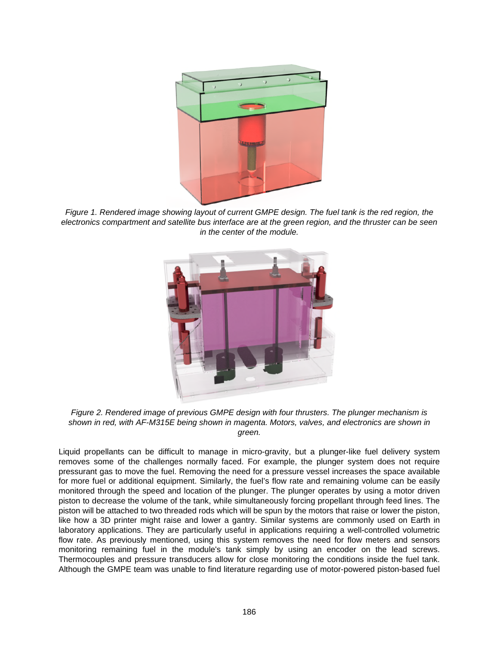

*Figure 1. Rendered image showing layout of current GMPE design. The fuel tank is the red region, the electronics compartment and satellite bus interface are at the green region, and the thruster can be seen in the center of the module.* 



*Figure 2. Rendered image of previous GMPE design with four thrusters. The plunger mechanism is shown in red, with AF-M315E being shown in magenta. Motors, valves, and electronics are shown in green.* 

Liquid propellants can be difficult to manage in micro-gravity, but a plunger-like fuel delivery system removes some of the challenges normally faced. For example, the plunger system does not require pressurant gas to move the fuel. Removing the need for a pressure vessel increases the space available for more fuel or additional equipment. Similarly, the fuel's flow rate and remaining volume can be easily monitored through the speed and location of the plunger. The plunger operates by using a motor driven piston to decrease the volume of the tank, while simultaneously forcing propellant through feed lines. The piston will be attached to two threaded rods which will be spun by the motors that raise or lower the piston, like how a 3D printer might raise and lower a gantry. Similar systems are commonly used on Earth in laboratory applications. They are particularly useful in applications requiring a well-controlled volumetric flow rate. As previously mentioned, using this system removes the need for flow meters and sensors monitoring remaining fuel in the module's tank simply by using an encoder on the lead screws. Thermocouples and pressure transducers allow for close monitoring the conditions inside the fuel tank. Although the GMPE team was unable to find literature regarding use of motor-powered piston-based fuel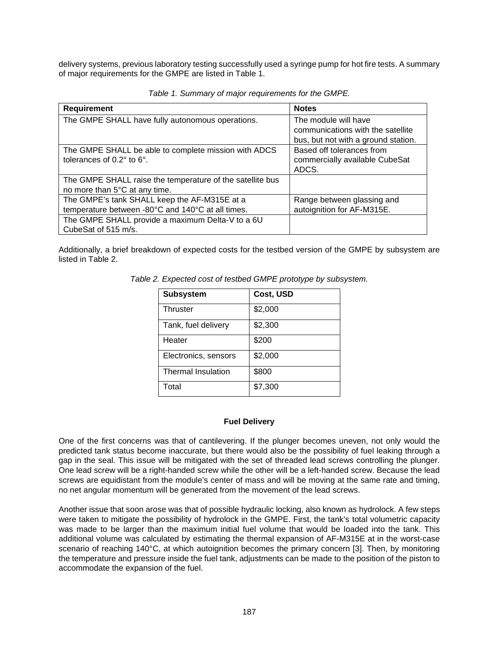delivery systems, previous laboratory testing successfully used a syringe pump for hot fire tests. A summary of major requirements for the GMPE are listed in Table 1.

| <b>Requirement</b>                                                                                | <b>Notes</b>                                                                                     |
|---------------------------------------------------------------------------------------------------|--------------------------------------------------------------------------------------------------|
| The GMPE SHALL have fully autonomous operations.                                                  | The module will have<br>communications with the satellite<br>bus, but not with a ground station. |
| The GMPE SHALL be able to complete mission with ADCS<br>tolerances of $0.2^\circ$ to $6^\circ$ .  | Based off tolerances from<br>commercially available CubeSat<br>ADCS.                             |
| The GMPE SHALL raise the temperature of the satellite bus<br>no more than 5°C at any time.        |                                                                                                  |
| The GMPE's tank SHALL keep the AF-M315E at a<br>temperature between -80°C and 140°C at all times. | Range between glassing and<br>autoignition for AF-M315E.                                         |
| The GMPE SHALL provide a maximum Delta-V to a 6U<br>CubeSat of 515 m/s.                           |                                                                                                  |

*Table 1. Summary of major requirements for the GMPE.* 

Additionally, a brief breakdown of expected costs for the testbed version of the GMPE by subsystem are listed in Table 2.

| <b>Subsystem</b>          | Cost, USD |
|---------------------------|-----------|
| Thruster                  | \$2,000   |
| Tank, fuel delivery       | \$2,300   |
| Heater                    | \$200     |
| Electronics, sensors      | \$2,000   |
| <b>Thermal Insulation</b> | \$800     |
| Total                     | \$7,300   |

*Table 2. Expected cost of testbed GMPE prototype by subsystem.* 

#### **Fuel Delivery**

One of the first concerns was that of cantilevering. If the plunger becomes uneven, not only would the predicted tank status become inaccurate, but there would also be the possibility of fuel leaking through a gap in the seal. This issue will be mitigated with the set of threaded lead screws controlling the plunger. One lead screw will be a right-handed screw while the other will be a left-handed screw. Because the lead screws are equidistant from the module's center of mass and will be moving at the same rate and timing, no net angular momentum will be generated from the movement of the lead screws.

Another issue that soon arose was that of possible hydraulic locking, also known as hydrolock. A few steps were taken to mitigate the possibility of hydrolock in the GMPE. First, the tank's total volumetric capacity was made to be larger than the maximum initial fuel volume that would be loaded into the tank. This additional volume was calculated by estimating the thermal expansion of AF-M315E at in the worst-case scenario of reaching 140°C, at which autoignition becomes the primary concern [3]. Then, by monitoring the temperature and pressure inside the fuel tank, adjustments can be made to the position of the piston to accommodate the expansion of the fuel.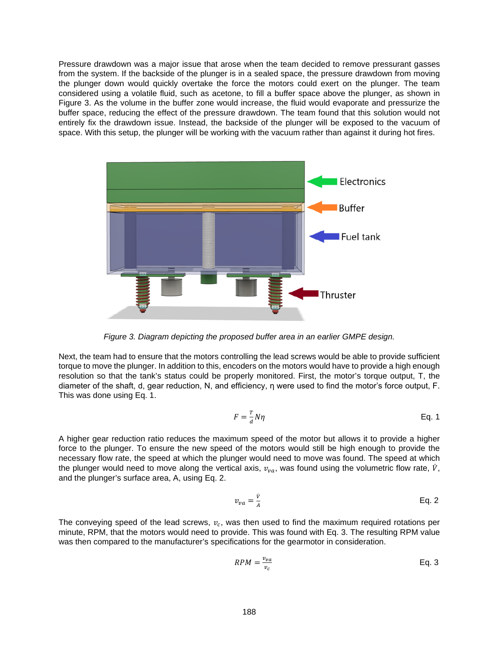Pressure drawdown was a major issue that arose when the team decided to remove pressurant gasses from the system. If the backside of the plunger is in a sealed space, the pressure drawdown from moving the plunger down would quickly overtake the force the motors could exert on the plunger. The team considered using a volatile fluid, such as acetone, to fill a buffer space above the plunger, as shown in Figure 3. As the volume in the buffer zone would increase, the fluid would evaporate and pressurize the buffer space, reducing the effect of the pressure drawdown. The team found that this solution would not entirely fix the drawdown issue. Instead, the backside of the plunger will be exposed to the vacuum of space. With this setup, the plunger will be working with the vacuum rather than against it during hot fires.



*Figure 3. Diagram depicting the proposed buffer area in an earlier GMPE design.* 

Next, the team had to ensure that the motors controlling the lead screws would be able to provide sufficient torque to move the plunger. In addition to this, encoders on the motors would have to provide a high enough resolution so that the tank's status could be properly monitored. First, the motor's torque output, T, the diameter of the shaft, d, gear reduction, N, and efficiency, η were used to find the motor's force output, F. This was done using Eq. 1.

$$
F = \frac{T}{d} N \eta
$$
 Eq. 1

A higher gear reduction ratio reduces the maximum speed of the motor but allows it to provide a higher force to the plunger. To ensure the new speed of the motors would still be high enough to provide the necessary flow rate, the speed at which the plunger would need to move was found. The speed at which the plunger would need to move along the vertical axis,  $v_{na}$ , was found using the volumetric flow rate,  $\dot{V}$ , and the plunger's surface area, A, using Eq. 2.

$$
v_{va} = \frac{\dot{v}}{A}
$$
 Eq. 2

The conveying speed of the lead screws,  $v_c$ , was then used to find the maximum required rotations per minute, RPM, that the motors would need to provide. This was found with Eq. 3. The resulting RPM value was then compared to the manufacturer's specifications for the gearmotor in consideration.

$$
RPM = \frac{v_{va}}{v_c} \qquad \qquad \text{Eq. 3}
$$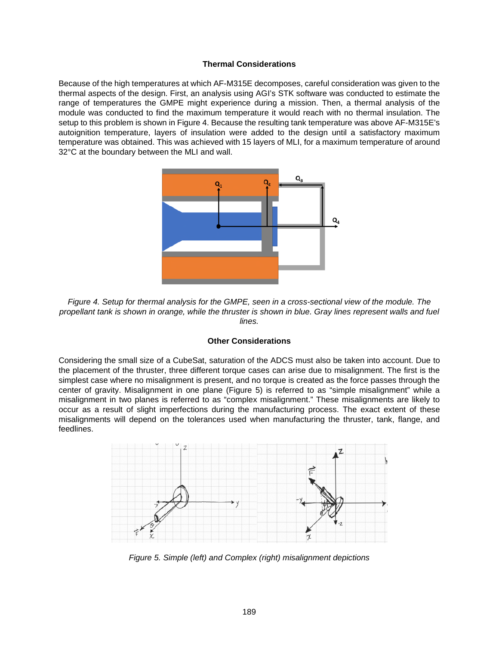#### **Thermal Considerations**

Because of the high temperatures at which AF-M315E decomposes, careful consideration was given to the thermal aspects of the design. First, an analysis using AGI's STK software was conducted to estimate the range of temperatures the GMPE might experience during a mission. Then, a thermal analysis of the module was conducted to find the maximum temperature it would reach with no thermal insulation. The setup to this problem is shown in Figure 4. Because the resulting tank temperature was above AF-M315E's autoignition temperature, layers of insulation were added to the design until a satisfactory maximum temperature was obtained. This was achieved with 15 layers of MLI, for a maximum temperature of around 32°C at the boundary between the MLI and wall.



*Figure 4. Setup for thermal analysis for the GMPE, seen in a cross-sectional view of the module. The propellant tank is shown in orange, while the thruster is shown in blue. Gray lines represent walls and fuel lines.* 

### **Other Considerations**

Considering the small size of a CubeSat, saturation of the ADCS must also be taken into account. Due to the placement of the thruster, three different torque cases can arise due to misalignment. The first is the simplest case where no misalignment is present, and no torque is created as the force passes through the center of gravity. Misalignment in one plane (Figure 5) is referred to as "simple misalignment" while a misalignment in two planes is referred to as "complex misalignment." These misalignments are likely to occur as a result of slight imperfections during the manufacturing process. The exact extent of these misalignments will depend on the tolerances used when manufacturing the thruster, tank, flange, and feedlines.



*Figure 5. Simple (left) and Complex (right) misalignment depictions*